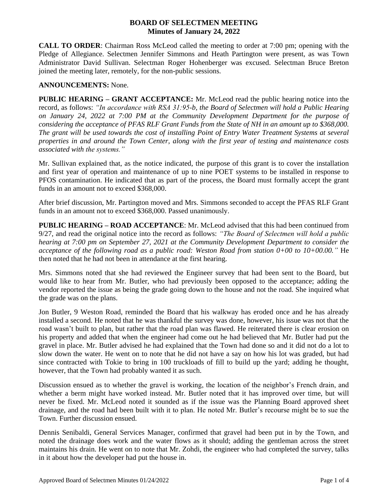## **BOARD OF SELECTMEN MEETING Minutes of January 24, 2022**

**CALL TO ORDER**: Chairman Ross McLeod called the meeting to order at 7:00 pm; opening with the Pledge of Allegiance. Selectmen Jennifer Simmons and Heath Partington were present, as was Town Administrator David Sullivan. Selectman Roger Hohenberger was excused. Selectman Bruce Breton joined the meeting later, remotely, for the non-public sessions.

## **ANNOUNCEMENTS:** None.

**PUBLIC HEARING – GRANT ACCEPTANCE:** Mr. McLeod read the public hearing notice into the record, as follows: *"In accordance with RSA 31:95-b, the Board of Selectmen will hold a Public Hearing on January 24, 2022 at 7:00 PM at the Community Development Department for the purpose of considering the acceptance of PFAS RLF Grant Funds from the State of NH in an amount up to \$368,000. The grant will be used towards the cost of installing Point of Entry Water Treatment Systems at several properties in and around the Town Center, along with the first year of testing and maintenance costs associated with the systems."*

Mr. Sullivan explained that, as the notice indicated, the purpose of this grant is to cover the installation and first year of operation and maintenance of up to nine POET systems to be installed in response to PFOS contamination. He indicated that as part of the process, the Board must formally accept the grant funds in an amount not to exceed \$368,000.

After brief discussion, Mr. Partington moved and Mrs. Simmons seconded to accept the PFAS RLF Grant funds in an amount not to exceed \$368,000. Passed unanimously.

**PUBLIC HEARING – ROAD ACCEPTANCE**: Mr. McLeod advised that this had been continued from 9/27, and read the original notice into the record as follows: *"The Board of Selectmen will hold a public hearing at 7:00 pm on September 27, 2021 at the Community Development Department to consider the acceptance of the following road as a public road: Weston Road from station 0+00 to 10+00.00."* He then noted that he had not been in attendance at the first hearing.

Mrs. Simmons noted that she had reviewed the Engineer survey that had been sent to the Board, but would like to hear from Mr. Butler, who had previously been opposed to the acceptance; adding the vendor reported the issue as being the grade going down to the house and not the road. She inquired what the grade was on the plans.

Jon Butler, 9 Weston Road, reminded the Board that his walkway has eroded once and he has already installed a second. He noted that he was thankful the survey was done, however, his issue was not that the road wasn't built to plan, but rather that the road plan was flawed. He reiterated there is clear erosion on his property and added that when the engineer had come out he had believed that Mr. Butler had put the gravel in place. Mr. Butler advised he had explained that the Town had done so and it did not do a lot to slow down the water. He went on to note that he did not have a say on how his lot was graded, but had since contracted with Tokie to bring in 100 truckloads of fill to build up the yard; adding he thought, however, that the Town had probably wanted it as such.

Discussion ensued as to whether the gravel is working, the location of the neighbor's French drain, and whether a berm might have worked instead. Mr. Butler noted that it has improved over time, but will never be fixed. Mr. McLeod noted it sounded as if the issue was the Planning Board approved sheet drainage, and the road had been built with it to plan. He noted Mr. Butler's recourse might be to sue the Town. Further discussion ensued.

Dennis Senibaldi, General Services Manager, confirmed that gravel had been put in by the Town, and noted the drainage does work and the water flows as it should; adding the gentleman across the street maintains his drain. He went on to note that Mr. Zohdi, the engineer who had completed the survey, talks in it about how the developer had put the house in.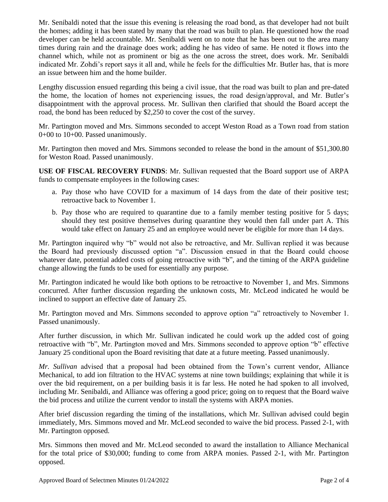Mr. Senibaldi noted that the issue this evening is releasing the road bond, as that developer had not built the homes; adding it has been stated by many that the road was built to plan. He questioned how the road developer can be held accountable. Mr. Senibaldi went on to note that he has been out to the area many times during rain and the drainage does work; adding he has video of same. He noted it flows into the channel which, while not as prominent or big as the one across the street, does work. Mr. Senibaldi indicated Mr. Zohdi's report says it all and, while he feels for the difficulties Mr. Butler has, that is more an issue between him and the home builder.

Lengthy discussion ensued regarding this being a civil issue, that the road was built to plan and pre-dated the home, the location of homes not experiencing issues, the road design/approval, and Mr. Butler's disappointment with the approval process. Mr. Sullivan then clarified that should the Board accept the road, the bond has been reduced by \$2,250 to cover the cost of the survey.

Mr. Partington moved and Mrs. Simmons seconded to accept Weston Road as a Town road from station 0+00 to 10+00. Passed unanimously.

Mr. Partington then moved and Mrs. Simmons seconded to release the bond in the amount of \$51,300.80 for Weston Road. Passed unanimously.

**USE OF FISCAL RECOVERY FUNDS**: Mr. Sullivan requested that the Board support use of ARPA funds to compensate employees in the following cases:

- a. Pay those who have COVID for a maximum of 14 days from the date of their positive test; retroactive back to November 1.
- b. Pay those who are required to quarantine due to a family member testing positive for 5 days; should they test positive themselves during quarantine they would then fall under part A. This would take effect on January 25 and an employee would never be eligible for more than 14 days.

Mr. Partington inquired why "b" would not also be retroactive, and Mr. Sullivan replied it was because the Board had previously discussed option "a". Discussion ensued in that the Board could choose whatever date, potential added costs of going retroactive with "b", and the timing of the ARPA guideline change allowing the funds to be used for essentially any purpose.

Mr. Partington indicated he would like both options to be retroactive to November 1, and Mrs. Simmons concurred. After further discussion regarding the unknown costs, Mr. McLeod indicated he would be inclined to support an effective date of January 25.

Mr. Partington moved and Mrs. Simmons seconded to approve option "a" retroactively to November 1. Passed unanimously.

After further discussion, in which Mr. Sullivan indicated he could work up the added cost of going retroactive with "b", Mr. Partington moved and Mrs. Simmons seconded to approve option "b" effective January 25 conditional upon the Board revisiting that date at a future meeting. Passed unanimously.

*Mr. Sullivan* advised that a proposal had been obtained from the Town's current vendor, Alliance Mechanical, to add ion filtration to the HVAC systems at nine town buildings; explaining that while it is over the bid requirement, on a per building basis it is far less. He noted he had spoken to all involved, including Mr. Senibaldi, and Alliance was offering a good price; going on to request that the Board waive the bid process and utilize the current vendor to install the systems with ARPA monies.

After brief discussion regarding the timing of the installations, which Mr. Sullivan advised could begin immediately, Mrs. Simmons moved and Mr. McLeod seconded to waive the bid process. Passed 2-1, with Mr. Partington opposed.

Mrs. Simmons then moved and Mr. McLeod seconded to award the installation to Alliance Mechanical for the total price of \$30,000; funding to come from ARPA monies. Passed 2-1, with Mr. Partington opposed.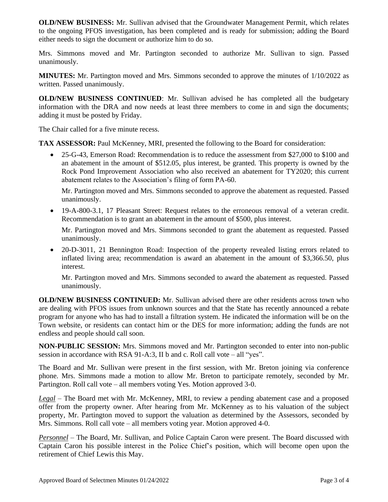**OLD/NEW BUSINESS:** Mr. Sullivan advised that the Groundwater Management Permit, which relates to the ongoing PFOS investigation, has been completed and is ready for submission; adding the Board either needs to sign the document or authorize him to do so.

Mrs. Simmons moved and Mr. Partington seconded to authorize Mr. Sullivan to sign. Passed unanimously.

**MINUTES:** Mr. Partington moved and Mrs. Simmons seconded to approve the minutes of 1/10/2022 as written. Passed unanimously.

**OLD/NEW BUSINESS CONTINUED**: Mr. Sullivan advised he has completed all the budgetary information with the DRA and now needs at least three members to come in and sign the documents; adding it must be posted by Friday.

The Chair called for a five minute recess.

**TAX ASSESSOR:** Paul McKenney, MRI, presented the following to the Board for consideration:

• 25-G-43, Emerson Road: Recommendation is to reduce the assessment from \$27,000 to \$100 and an abatement in the amount of \$512.05, plus interest, be granted. This property is owned by the Rock Pond Improvement Association who also received an abatement for TY2020; this current abatement relates to the Association's filing of form PA-60.

Mr. Partington moved and Mrs. Simmons seconded to approve the abatement as requested. Passed unanimously.

 19-A-800-3.1, 17 Pleasant Street: Request relates to the erroneous removal of a veteran credit. Recommendation is to grant an abatement in the amount of \$500, plus interest.

Mr. Partington moved and Mrs. Simmons seconded to grant the abatement as requested. Passed unanimously.

 20-D-3011, 21 Bennington Road: Inspection of the property revealed listing errors related to inflated living area; recommendation is award an abatement in the amount of \$3,366.50, plus interest.

Mr. Partington moved and Mrs. Simmons seconded to award the abatement as requested. Passed unanimously.

**OLD/NEW BUSINESS CONTINUED:** Mr. Sullivan advised there are other residents across town who are dealing with PFOS issues from unknown sources and that the State has recently announced a rebate program for anyone who has had to install a filtration system. He indicated the information will be on the Town website, or residents can contact him or the DES for more information; adding the funds are not endless and people should call soon.

**NON-PUBLIC SESSION:** Mrs. Simmons moved and Mr. Partington seconded to enter into non-public session in accordance with RSA 91-A:3, II b and c. Roll call vote – all "yes".

The Board and Mr. Sullivan were present in the first session, with Mr. Breton joining via conference phone. Mrs. Simmons made a motion to allow Mr. Breton to participate remotely, seconded by Mr. Partington. Roll call vote – all members voting Yes. Motion approved 3-0.

*Legal* – The Board met with Mr. McKenney, MRI, to review a pending abatement case and a proposed offer from the property owner. After hearing from Mr. McKenney as to his valuation of the subject property, Mr. Partington moved to support the valuation as determined by the Assessors, seconded by Mrs. Simmons. Roll call vote – all members voting year. Motion approved 4-0.

*Personnel* – The Board, Mr. Sullivan, and Police Captain Caron were present. The Board discussed with Captain Caron his possible interest in the Police Chief's position, which will become open upon the retirement of Chief Lewis this May.